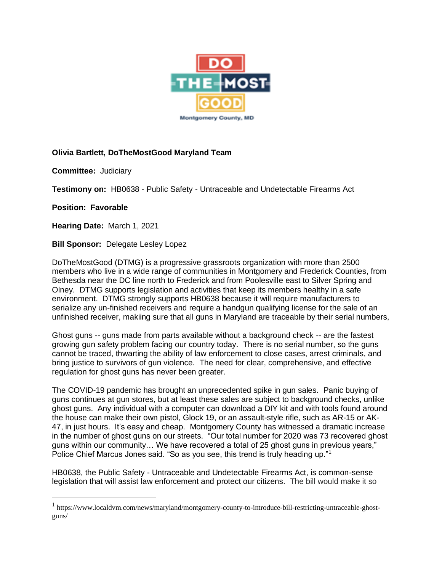

## **Olivia Bartlett, DoTheMostGood Maryland Team**

**Committee:** Judiciary

**Testimony on:** HB0638 - Public Safety - Untraceable and Undetectable Firearms Act

**Position: Favorable**

**Hearing Date:** March 1, 2021

**Bill Sponsor:** Delegate Lesley Lopez

DoTheMostGood (DTMG) is a progressive grassroots organization with more than 2500 members who live in a wide range of communities in Montgomery and Frederick Counties, from Bethesda near the DC line north to Frederick and from Poolesville east to Silver Spring and Olney. DTMG supports legislation and activities that keep its members healthy in a safe environment. DTMG strongly supports HB0638 because it will require manufacturers to serialize any un-finished receivers and require a handgun qualifying license for the sale of an unfinished receiver, makiing sure that all guns in Maryland are traceable by their serial numbers,

Ghost guns -- guns made from parts available without a background check -- are the fastest growing gun safety problem facing our country today. There is no serial number, so the guns cannot be traced, thwarting the ability of law enforcement to close cases, arrest criminals, and bring justice to survivors of gun violence. The need for clear, comprehensive, and effective regulation for ghost guns has never been greater.

The COVID-19 pandemic has brought an unprecedented spike in gun sales. Panic buying of guns continues at gun stores, but at least these sales are subject to background checks, unlike ghost guns. Any individual with a computer can download a DIY kit and with tools found around the house can make their own pistol, Glock 19, or an assault-style rifle, such as AR-15 or AK-47, in just hours. It's easy and cheap. Montgomery County has witnessed a dramatic increase in the number of ghost guns on our streets. "Our total number for 2020 was 73 recovered ghost guns within our community… We have recovered a total of 25 ghost guns in previous years," Police Chief Marcus Jones said. "So as you see, this trend is truly heading up."<sup>1</sup>

HB0638, the Public Safety - Untraceable and Undetectable Firearms Act, is common-sense legislation that will assist law enforcement and protect our citizens. The bill would make it so

<sup>1</sup> https://www.localdvm.com/news/maryland/montgomery-county-to-introduce-bill-restricting-untraceable-ghostguns/